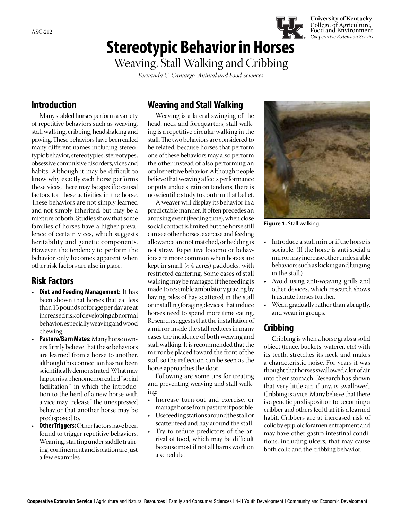## **Stereotypic Behavior in Horses**

**University of Kentucky** College of Agriculture, Food and Environment *Cooperative Extension Service*

# Weaving, Stall Walking and Cribbing

*Fernanda C. Camargo, Animal and Food Sciences*

### **Introduction**

Many stabled horses perform a variety of repetitive behaviors such as weaving, stall walking, cribbing, headshaking and pawing. These behaviors have been called many different names including stereotypic behavior, stereotypies, stereotypes, obsessive compulsive disorders, vices and habits. Although it may be difficult to know why exactly each horse performs these vices, there may be specific causal factors for these activities in the horse. These behaviors are not simply learned and not simply inherited, but may be a mixture of both. Studies show that some families of horses have a higher prevalence of certain vices, which suggests heritability and genetic components. However, the tendency to perform the behavior only becomes apparent when other risk factors are also in place.

## **Risk Factors**

- **Diet and Feeding Management:** It has been shown that horses that eat less than 15 pounds of forage per day are at increased risk of developing abnormal behavior, especially weaving and wood chewing.
- **Pasture/Barn Mates:** Many horse owners firmly believe that these behaviors are learned from a horse to another, although this connection has not been scientifically demonstrated. What may happen is a phenomenon called "social facilitation," in which the introduction to the herd of a new horse with a vice may "release" the unexpressed behavior that another horse may be predisposed to.
- **Other Triggers: Other factors have been** found to trigger repetitive behaviors. Weaning, starting under saddle training, confinement and isolation are just a few examples.

### **Weaving and Stall Walking**

Weaving is a lateral swinging of the head, neck and forequarters; stall walking is a repetitive circular walking in the stall. The two behaviors are considered to be related, because horses that perform one of these behaviors may also perform the other instead of also performing an oral repetitive behavior. Although people believe that weaving affects performance or puts undue strain on tendons, there is no scientific study to confirm that belief.

A weaver will display its behavior in a predictable manner. It often precedes an arousing event (feeding time), when close social contact is limited but the horse still can see other horses, exercise and feeding allowance are not matched, or bedding is not straw. Repetitive locomotor behaviors are more common when horses are kept in small  $\left($  4 acres) paddocks, with restricted cantering. Some cases of stall walking may be managed if the feeding is made to resemble ambulatory grazing by having piles of hay scattered in the stall or installing foraging devices that induce horses need to spend more time eating. Research suggests that the installation of a mirror inside the stall reduces in many cases the incidence of both weaving and stall walking. It is recommended that the mirror be placed toward the front of the stall so the reflection can be seen as the horse approaches the door.

Following are some tips for treating and preventing weaving and stall walking:

- Increase turn-out and exercise, or manage horse from pasture if possible.
- Use feeding stations around the stall or scatter feed and hay around the stall.
- Try to reduce predictors of the arrival of food, which may be difficult because most if not all barns work on a schedule.



**Figure 1.** Stall walking.

- Introduce a stall mirror if the horse is sociable. (If the horse is anti-social a mirror may increase other undesirable behaviors such as kicking and lunging in the stall.)
- Avoid using anti-weaving grills and other devices, which research shows frustrate horses further.
- Wean gradually rather than abruptly, and wean in groups.

#### **Cribbing**

Cribbing is when a horse grabs a solid object (fence, buckets, waterer, etc) with its teeth, stretches its neck and makes a characteristic noise. For years it was thought that horses swallowed a lot of air into their stomach. Research has shown that very little air, if any, is swallowed. Cribbing is a vice. Many believe that there is a genetic predisposition to becoming a cribber and others feel that it is a learned habit. Cribbers are at increased risk of colic by epiploic foramen entrapment and may have other gastro-intestinal conditions, including ulcers, that may cause both colic and the cribbing behavior.